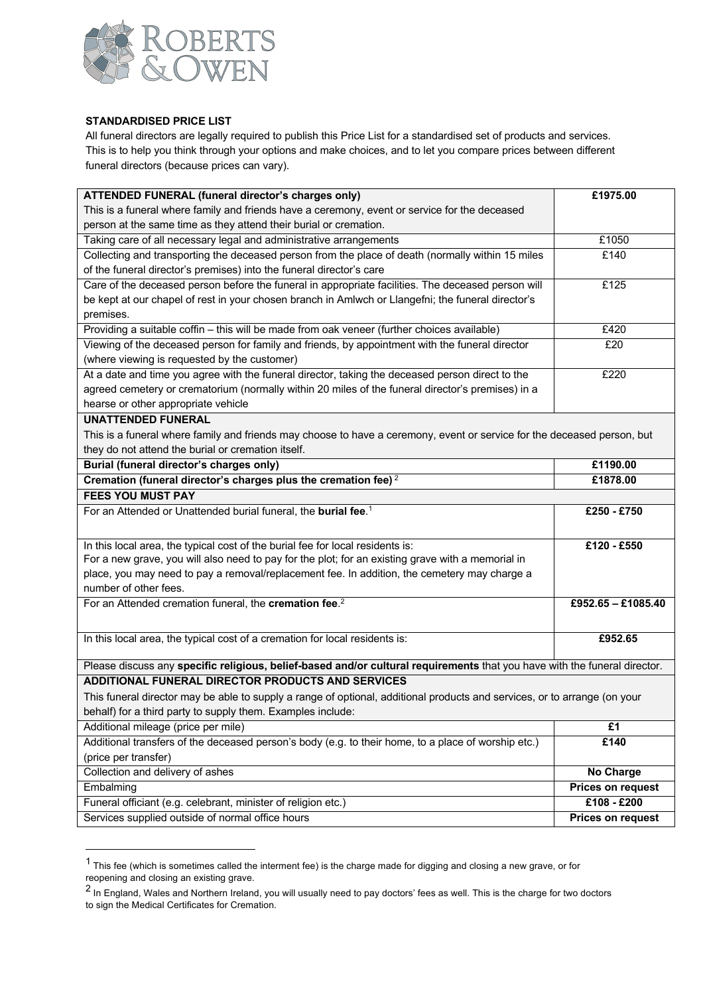

### **STANDARDISED PRICE LIST**

All funeral directors are legally required to publish this Price List for a standardised set of products and services. This is to help you think through your options and make choices, and to let you compare prices between different funeral directors (because prices can vary).

| ATTENDED FUNERAL (funeral director's charges only)                                                                        | £1975.00                 |
|---------------------------------------------------------------------------------------------------------------------------|--------------------------|
| This is a funeral where family and friends have a ceremony, event or service for the deceased                             |                          |
| person at the same time as they attend their burial or cremation.                                                         |                          |
| Taking care of all necessary legal and administrative arrangements                                                        | £1050                    |
| Collecting and transporting the deceased person from the place of death (normally within 15 miles                         | £140                     |
| of the funeral director's premises) into the funeral director's care                                                      |                          |
| Care of the deceased person before the funeral in appropriate facilities. The deceased person will                        | £125                     |
| be kept at our chapel of rest in your chosen branch in Amlwch or Llangefni; the funeral director's                        |                          |
| premises.                                                                                                                 |                          |
| Providing a suitable coffin - this will be made from oak veneer (further choices available)                               | £420                     |
| Viewing of the deceased person for family and friends, by appointment with the funeral director                           | £20                      |
| (where viewing is requested by the customer)                                                                              |                          |
| At a date and time you agree with the funeral director, taking the deceased person direct to the                          | £220                     |
| agreed cemetery or crematorium (normally within 20 miles of the funeral director's premises) in a                         |                          |
| hearse or other appropriate vehicle                                                                                       |                          |
| <b>UNATTENDED FUNERAL</b>                                                                                                 |                          |
| This is a funeral where family and friends may choose to have a ceremony, event or service for the deceased person, but   |                          |
| they do not attend the burial or cremation itself.                                                                        |                          |
| Burial (funeral director's charges only)                                                                                  | £1190.00                 |
| Cremation (funeral director's charges plus the cremation fee) <sup>2</sup>                                                | £1878.00                 |
| <b>FEES YOU MUST PAY</b>                                                                                                  |                          |
| For an Attended or Unattended burial funeral, the burial fee. <sup>1</sup>                                                | £250 - £750              |
|                                                                                                                           |                          |
| In this local area, the typical cost of the burial fee for local residents is:                                            | £120 - £550              |
| For a new grave, you will also need to pay for the plot; for an existing grave with a memorial in                         |                          |
| place, you may need to pay a removal/replacement fee. In addition, the cemetery may charge a                              |                          |
| number of other fees.                                                                                                     |                          |
| For an Attended cremation funeral, the cremation fee. <sup>2</sup>                                                        | £952.65 - £1085.40       |
|                                                                                                                           |                          |
| In this local area, the typical cost of a cremation for local residents is:                                               | £952.65                  |
|                                                                                                                           |                          |
| Please discuss any specific religious, belief-based and/or cultural requirements that you have with the funeral director. |                          |
| <b>ADDITIONAL FUNERAL DIRECTOR PRODUCTS AND SERVICES</b>                                                                  |                          |
| This funeral director may be able to supply a range of optional, additional products and services, or to arrange (on your |                          |
| behalf) for a third party to supply them. Examples include:                                                               |                          |
| Additional mileage (price per mile)                                                                                       | £1                       |
| Additional transfers of the deceased person's body (e.g. to their home, to a place of worship etc.)                       | £140                     |
| (price per transfer)                                                                                                      |                          |
| Collection and delivery of ashes                                                                                          | <b>No Charge</b>         |
| Embalming                                                                                                                 | <b>Prices on request</b> |
| Funeral officiant (e.g. celebrant, minister of religion etc.)                                                             | £108 - £200              |
| Services supplied outside of normal office hours                                                                          | Prices on request        |
|                                                                                                                           |                          |

 $1$  This fee (which is sometimes called the interment fee) is the charge made for digging and closing a new grave, or for reopening and closing an existing grave.

 $^2$  In England, Wales and Northern Ireland, you will usually need to pay doctors' fees as well. This is the charge for two doctors to sign the Medical Certificates for Cremation.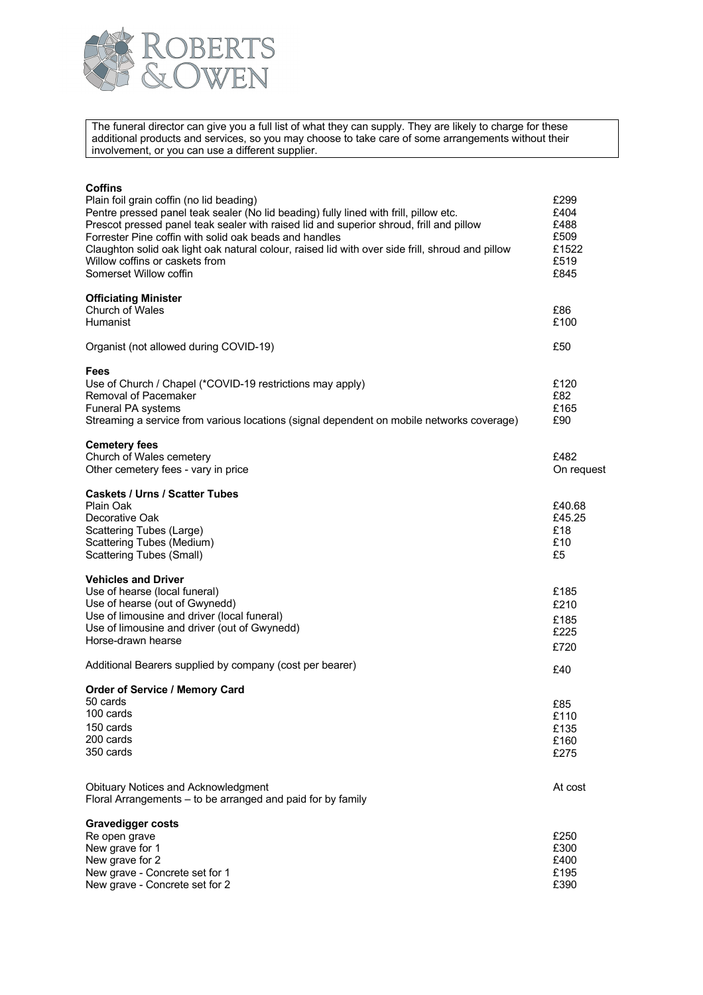

The funeral director can give you a full list of what they can supply. They are likely to charge for these additional products and services, so you may choose to take care of some arrangements without their involvement, or you can use a different supplier.

| Coffins<br>Plain foil grain coffin (no lid beading)<br>Pentre pressed panel teak sealer (No lid beading) fully lined with frill, pillow etc.<br>Prescot pressed panel teak sealer with raised lid and superior shroud, frill and pillow<br>Forrester Pine coffin with solid oak beads and handles<br>Claughton solid oak light oak natural colour, raised lid with over side frill, shroud and pillow<br>Willow coffins or caskets from<br>Somerset Willow coffin | £299<br>£404<br>£488<br>£509<br>£1522<br>£519<br>£845 |
|-------------------------------------------------------------------------------------------------------------------------------------------------------------------------------------------------------------------------------------------------------------------------------------------------------------------------------------------------------------------------------------------------------------------------------------------------------------------|-------------------------------------------------------|
| <b>Officiating Minister</b><br>Church of Wales<br>Humanist                                                                                                                                                                                                                                                                                                                                                                                                        | £86<br>£100                                           |
| Organist (not allowed during COVID-19)                                                                                                                                                                                                                                                                                                                                                                                                                            | £50                                                   |
| <b>Fees</b><br>Use of Church / Chapel (*COVID-19 restrictions may apply)<br>Removal of Pacemaker<br>Funeral PA systems<br>Streaming a service from various locations (signal dependent on mobile networks coverage)                                                                                                                                                                                                                                               | £120<br>£82<br>£165<br>£90                            |
| <b>Cemetery fees</b><br>Church of Wales cemetery<br>Other cemetery fees - vary in price                                                                                                                                                                                                                                                                                                                                                                           | £482<br>On request                                    |
| <b>Caskets / Urns / Scatter Tubes</b><br>Plain Oak<br>Decorative Oak<br>Scattering Tubes (Large)<br>Scattering Tubes (Medium)<br><b>Scattering Tubes (Small)</b>                                                                                                                                                                                                                                                                                                  | £40.68<br>£45.25<br>£18<br>£10<br>£5                  |
| <b>Vehicles and Driver</b><br>Use of hearse (local funeral)<br>Use of hearse (out of Gwynedd)<br>Use of limousine and driver (local funeral)<br>Use of limousine and driver (out of Gwynedd)<br>Horse-drawn hearse                                                                                                                                                                                                                                                | £185<br>£210<br>£185<br>£225<br>£720                  |
| Additional Bearers supplied by company (cost per bearer)                                                                                                                                                                                                                                                                                                                                                                                                          | £40                                                   |
| <b>Order of Service / Memory Card</b><br>50 cards<br>100 cards<br>150 cards<br>200 cards<br>350 cards                                                                                                                                                                                                                                                                                                                                                             | £85<br>£110<br>£135<br>£160<br>£275                   |
| Obituary Notices and Acknowledgment<br>Floral Arrangements - to be arranged and paid for by family                                                                                                                                                                                                                                                                                                                                                                | At cost                                               |
| <b>Gravedigger costs</b><br>Re open grave<br>New grave for 1<br>New grave for 2<br>New grave - Concrete set for 1<br>New grave - Concrete set for 2                                                                                                                                                                                                                                                                                                               | £250<br>£300<br>£400<br>£195<br>£390                  |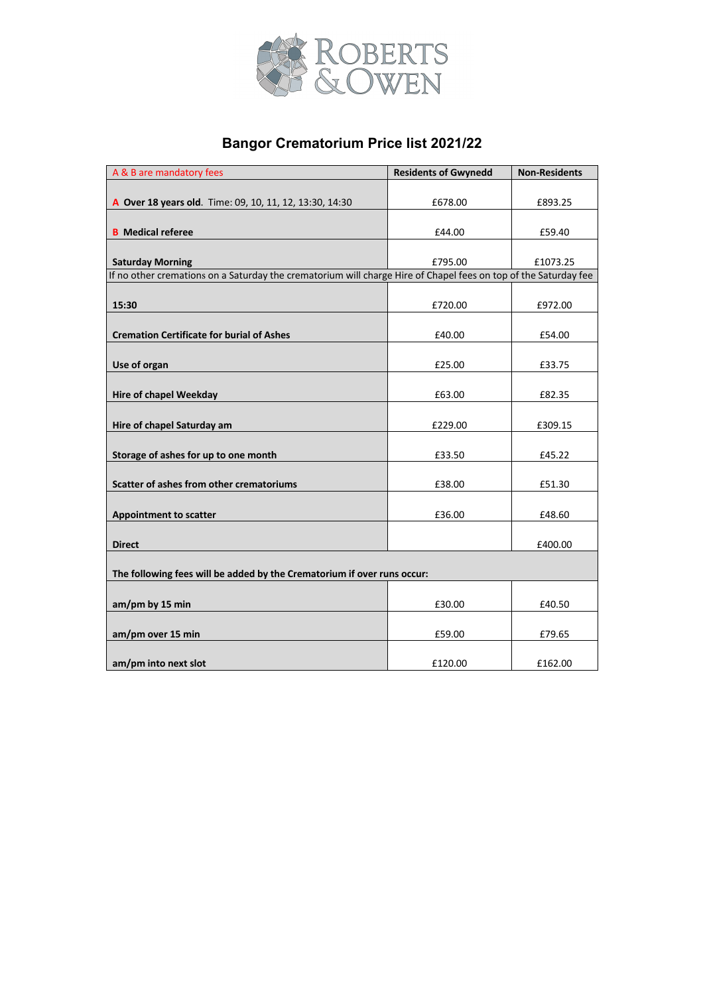

# **Bangor Crematorium Price list 2021/22**

| A & B are mandatory fees                                                                                        | <b>Residents of Gwynedd</b> | <b>Non-Residents</b> |
|-----------------------------------------------------------------------------------------------------------------|-----------------------------|----------------------|
|                                                                                                                 |                             |                      |
| A Over 18 years old. Time: 09, 10, 11, 12, 13:30, 14:30                                                         | £678.00                     | £893.25              |
|                                                                                                                 |                             |                      |
| <b>B</b> Medical referee                                                                                        | £44.00                      | £59.40               |
|                                                                                                                 |                             |                      |
| <b>Saturday Morning</b>                                                                                         | £795.00                     | £1073.25             |
| If no other cremations on a Saturday the crematorium will charge Hire of Chapel fees on top of the Saturday fee |                             |                      |
|                                                                                                                 |                             |                      |
| 15:30                                                                                                           | £720.00                     | £972.00              |
|                                                                                                                 |                             |                      |
| <b>Cremation Certificate for burial of Ashes</b>                                                                | £40.00                      | £54.00               |
|                                                                                                                 |                             |                      |
| Use of organ                                                                                                    | £25.00                      | £33.75               |
|                                                                                                                 |                             |                      |
| <b>Hire of chapel Weekday</b>                                                                                   | £63.00                      | £82.35               |
|                                                                                                                 |                             |                      |
| Hire of chapel Saturday am                                                                                      | £229.00                     | £309.15              |
|                                                                                                                 |                             |                      |
| Storage of ashes for up to one month                                                                            | £33.50                      | £45.22               |
|                                                                                                                 |                             |                      |
| Scatter of ashes from other crematoriums                                                                        | £38.00                      | £51.30               |
|                                                                                                                 |                             |                      |
| <b>Appointment to scatter</b>                                                                                   | £36.00                      | £48.60               |
|                                                                                                                 |                             |                      |
| <b>Direct</b>                                                                                                   |                             | £400.00              |
|                                                                                                                 |                             |                      |
| The following fees will be added by the Crematorium if over runs occur:                                         |                             |                      |
|                                                                                                                 |                             |                      |
| am/pm by 15 min                                                                                                 | £30.00                      | £40.50               |
|                                                                                                                 |                             |                      |
| am/pm over 15 min                                                                                               | £59.00                      | £79.65               |
|                                                                                                                 |                             |                      |
| am/pm into next slot                                                                                            | £120.00                     | £162.00              |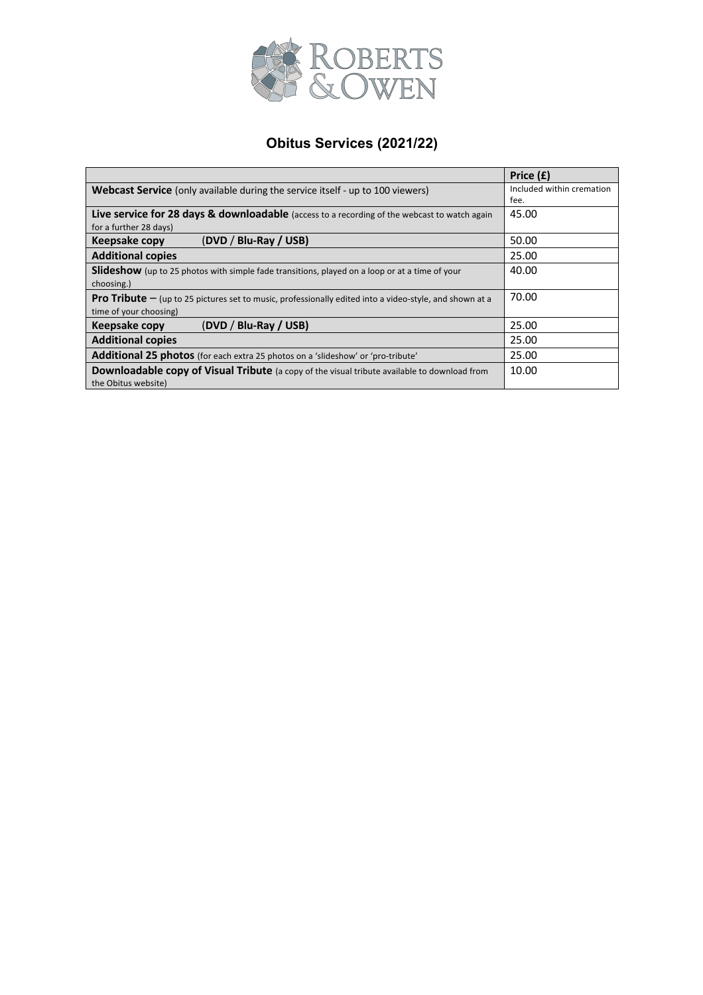

## **Obitus Services (2021/22)**

|                                                                                                                  | Price (£)                 |
|------------------------------------------------------------------------------------------------------------------|---------------------------|
| <b>Webcast Service</b> (only available during the service itself - up to 100 viewers)                            | Included within cremation |
|                                                                                                                  | fee.                      |
| <b>Live service for 28 days &amp; downloadable</b> (access to a recording of the webcast to watch again          | 45.00                     |
| for a further 28 days)                                                                                           |                           |
| (DVD / Blu-Ray / USB)<br>Keepsake copy                                                                           | 50.00                     |
| <b>Additional copies</b>                                                                                         | 25.00                     |
| <b>Slideshow</b> (up to 25 photos with simple fade transitions, played on a loop or at a time of your            | 40.00                     |
| choosing.)                                                                                                       |                           |
| <b>Pro Tribute</b> $-$ (up to 25 pictures set to music, professionally edited into a video-style, and shown at a | 70.00                     |
| time of your choosing)                                                                                           |                           |
| (DVD / Blu-Ray / USB)<br>Keepsake copy                                                                           | 25.00                     |
| <b>Additional copies</b>                                                                                         | 25.00                     |
| Additional 25 photos (for each extra 25 photos on a 'slideshow' or 'pro-tribute'                                 | 25.00                     |
| Downloadable copy of Visual Tribute (a copy of the visual tribute available to download from                     | 10.00                     |
| the Obitus website)                                                                                              |                           |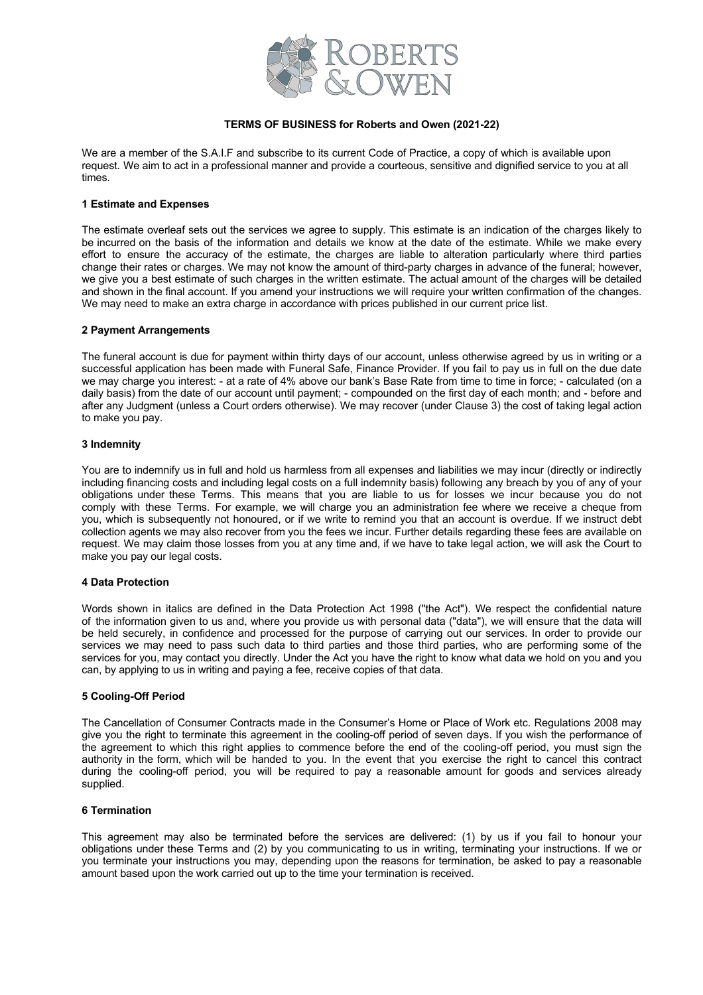

#### **TERMS OF BUSINESS for Roberts and Owen (2021-22)**

We are a member of the S.A.I.F and subscribe to its current Code of Practice, a copy of which is available upon request. We aim to act in a professional manner and provide a courteous, sensitive and dignified service to you at all times.

#### **1 Estimate and Expenses**

The estimate overleaf sets out the services we agree to supply. This estimate is an indication of the charges likely to be incurred on the basis of the information and details we know at the date of the estimate. While we make every effort to ensure the accuracy of the estimate, the charges are liable to alteration particularly where third parties change their rates or charges. We may not know the amount of third-party charges in advance of the funeral; however, we give you a best estimate of such charges in the written estimate. The actual amount of the charges will be detailed and shown in the final account. If you amend your instructions we will require your written confirmation of the changes. We may need to make an extra charge in accordance with prices published in our current price list.

#### **2 Payment Arrangements**

The funeral account is due for payment within thirty days of our account, unless otherwise agreed by us in writing or a successful application has been made with Funeral Safe, Finance Provider. If you fail to pay us in full on the due date we may charge you interest: - at a rate of 4% above our bank's Base Rate from time to time in force; - calculated (on a daily basis) from the date of our account until payment; - compounded on the first day of each month; and - before and after any Judgment (unless a Court orders otherwise). We may recover (under Clause 3) the cost of taking legal action to make you pay.

#### **3 Indemnity**

You are to indemnify us in full and hold us harmless from all expenses and liabilities we may incur (directly or indirectly including financing costs and including legal costs on a full indemnity basis) following any breach by you of any of your obligations under these Terms. This means that you are liable to us for losses we incur because you do not comply with these Terms. For example, we will charge you an administration fee where we receive a cheque from you, which is subsequently not honoured, or if we write to remind you that an account is overdue. If we instruct debt collection agents we may also recover from you the fees we incur. Further details regarding these fees are available on request. We may claim those losses from you at any time and, if we have to take legal action, we will ask the Court to make you pay our legal costs.

#### **4 Data Protection**

Words shown in italics are defined in the Data Protection Act 1998 ("the Act"). We respect the confidential nature of the information given to us and, where you provide us with personal data ("data"), we will ensure that the data will be held securely, in confidence and processed for the purpose of carrying out our services. In order to provide our services we may need to pass such data to third parties and those third parties, who are performing some of the services for you, may contact you directly. Under the Act you have the right to know what data we hold on you and you can, by applying to us in writing and paying a fee, receive copies of that data.

#### **5 Cooling-Off Period**

The Cancellation of Consumer Contracts made in the Consumer's Home or Place of Work etc. Regulations 2008 may give you the right to terminate this agreement in the cooling-off period of seven days. If you wish the performance of the agreement to which this right applies to commence before the end of the cooling-off period, you must sign the authority in the form, which will be handed to you. In the event that you exercise the right to cancel this contract during the cooling-off period, you will be required to pay a reasonable amount for goods and services already supplied.

#### **6 Termination**

This agreement may also be terminated before the services are delivered: (1) by us if you fail to honour your obligations under these Terms and (2) by you communicating to us in writing, terminating your instructions. If we or you terminate your instructions you may, depending upon the reasons for termination, be asked to pay a reasonable amount based upon the work carried out up to the time your termination is received.